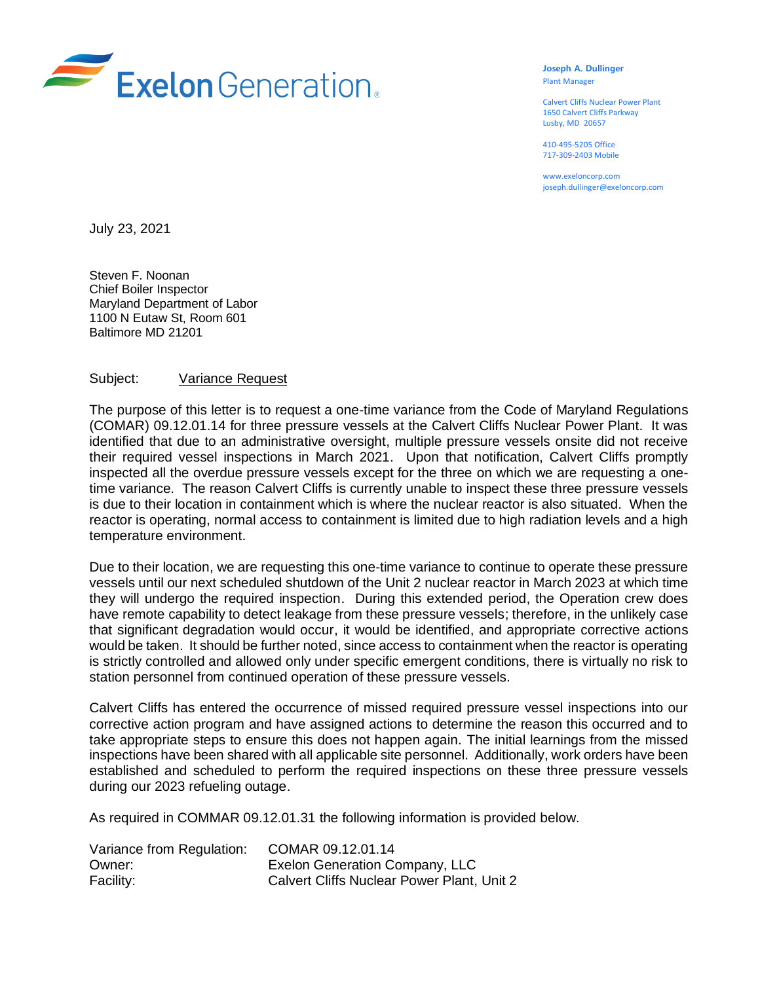

**Joseph A. Dullinger** Plant Manager

Calvert Cliffs Nuclear Power Plant 1650 Calvert Cliffs Parkway Lusby, MD 20657

410-495-5205 Office 717-309-2403 Mobile

www.exeloncorp.com joseph.dullinger@exeloncorp.com

July 23, 2021

Steven F. Noonan Chief Boiler Inspector Maryland Department of Labor 1100 N Eutaw St, Room 601 Baltimore MD 21201

## Subject: Variance Request

The purpose of this letter is to request a one-time variance from the Code of Maryland Regulations (COMAR) 09.12.01.14 for three pressure vessels at the Calvert Cliffs Nuclear Power Plant. It was identified that due to an administrative oversight, multiple pressure vessels onsite did not receive their required vessel inspections in March 2021. Upon that notification, Calvert Cliffs promptly inspected all the overdue pressure vessels except for the three on which we are requesting a onetime variance. The reason Calvert Cliffs is currently unable to inspect these three pressure vessels is due to their location in containment which is where the nuclear reactor is also situated. When the reactor is operating, normal access to containment is limited due to high radiation levels and a high temperature environment.

Due to their location, we are requesting this one-time variance to continue to operate these pressure vessels until our next scheduled shutdown of the Unit 2 nuclear reactor in March 2023 at which time they will undergo the required inspection. During this extended period, the Operation crew does have remote capability to detect leakage from these pressure vessels; therefore, in the unlikely case that significant degradation would occur, it would be identified, and appropriate corrective actions would be taken. It should be further noted, since access to containment when the reactor is operating is strictly controlled and allowed only under specific emergent conditions, there is virtually no risk to station personnel from continued operation of these pressure vessels.

Calvert Cliffs has entered the occurrence of missed required pressure vessel inspections into our corrective action program and have assigned actions to determine the reason this occurred and to take appropriate steps to ensure this does not happen again. The initial learnings from the missed inspections have been shared with all applicable site personnel. Additionally, work orders have been established and scheduled to perform the required inspections on these three pressure vessels during our 2023 refueling outage.

As required in COMMAR 09.12.01.31 the following information is provided below.

| Variance from Regulation: | COMAR 09.12.01.14                          |
|---------------------------|--------------------------------------------|
| Owner:                    | Exelon Generation Company, LLC             |
| Facility:                 | Calvert Cliffs Nuclear Power Plant, Unit 2 |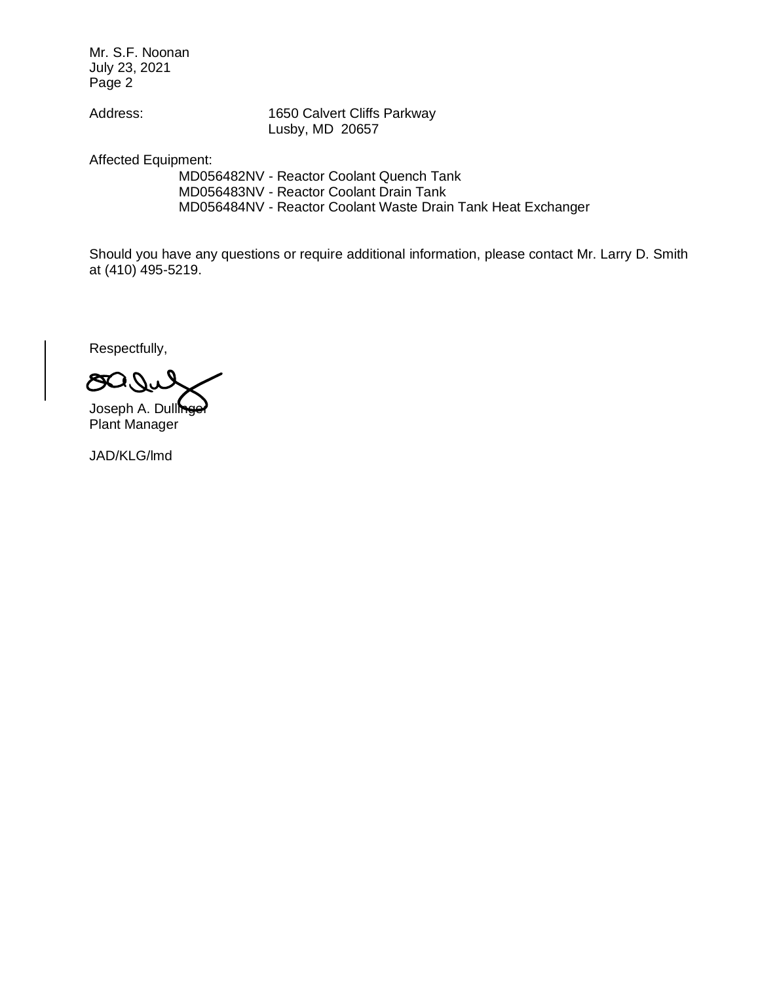Mr. S.F. Noonan July 23, 2021 Page 2

Address: 1650 Calvert Cliffs Parkway Lusby, MD 20657

Affected Equipment:

MD056482NV - Reactor Coolant Quench Tank MD056483NV - Reactor Coolant Drain Tank MD056484NV - Reactor Coolant Waste Drain Tank Heat Exchanger

Should you have any questions or require additional information, please contact Mr. Larry D. Smith at (410) 495-5219.

Respectfully,

Joseph A. Dullinge Plant Manager

JAD/KLG/lmd